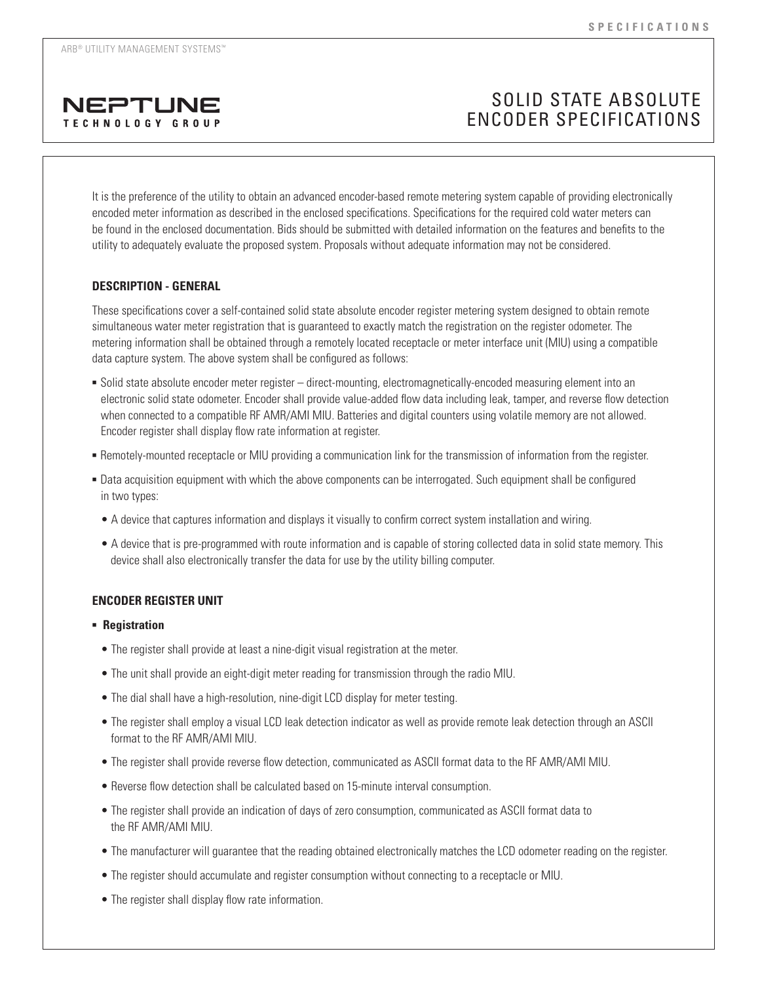

# SOLID STATE ABSOLUTE ENCODER SPECIFICATIONS

It is the preference of the utility to obtain an advanced encoder-based remote metering system capable of providing electronically encoded meter information as described in the enclosed specifications. Specifications for the required cold water meters can be found in the enclosed documentation. Bids should be submitted with detailed information on the features and benefits to the utility to adequately evaluate the proposed system. Proposals without adequate information may not be considered.

## **DESCRIPTION - GENERAL**

These specifications cover a self-contained solid state absolute encoder register metering system designed to obtain remote simultaneous water meter registration that is guaranteed to exactly match the registration on the register odometer. The metering information shall be obtained through a remotely located receptacle or meter interface unit (MIU) using a compatible data capture system. The above system shall be configured as follows:

- <sup>n</sup> Solid state absolute encoder meter register direct-mounting, electromagnetically-encoded measuring element into an electronic solid state odometer. Encoder shall provide value-added flow data including leak, tamper, and reverse flow detection when connected to a compatible RF AMR/AMI MIU. Batteries and digital counters using volatile memory are not allowed. Encoder register shall display flow rate information at register.
- <sup>n</sup> Remotely-mounted receptacle or MIU providing a communication link for the transmission of information from the register.
- <sup>n</sup> Data acquisition equipment with which the above components can be interrogated. Such equipment shall be configured in two types:
	- A device that captures information and displays it visually to confirm correct system installation and wiring.
	- A device that is pre-programmed with route information and is capable of storing collected data in solid state memory. This device shall also electronically transfer the data for use by the utility billing computer.

## **ENCODER REGISTER UNIT**

## **-** Registration

- The register shall provide at least a nine-digit visual registration at the meter.
- The unit shall provide an eight-digit meter reading for transmission through the radio MIU.
- The dial shall have a high-resolution, nine-digit LCD display for meter testing.
- The register shall employ a visual LCD leak detection indicator as well as provide remote leak detection through an ASCII format to the RF AMR/AMI MIU.
- The register shall provide reverse flow detection, communicated as ASCII format data to the RF AMR/AMI MIU.
- Reverse flow detection shall be calculated based on 15-minute interval consumption.
- The register shall provide an indication of days of zero consumption, communicated as ASCII format data to the RF AMR/AMI MIU.
- The manufacturer will guarantee that the reading obtained electronically matches the LCD odometer reading on the register.
- The register should accumulate and register consumption without connecting to a receptacle or MIU.
- The register shall display flow rate information.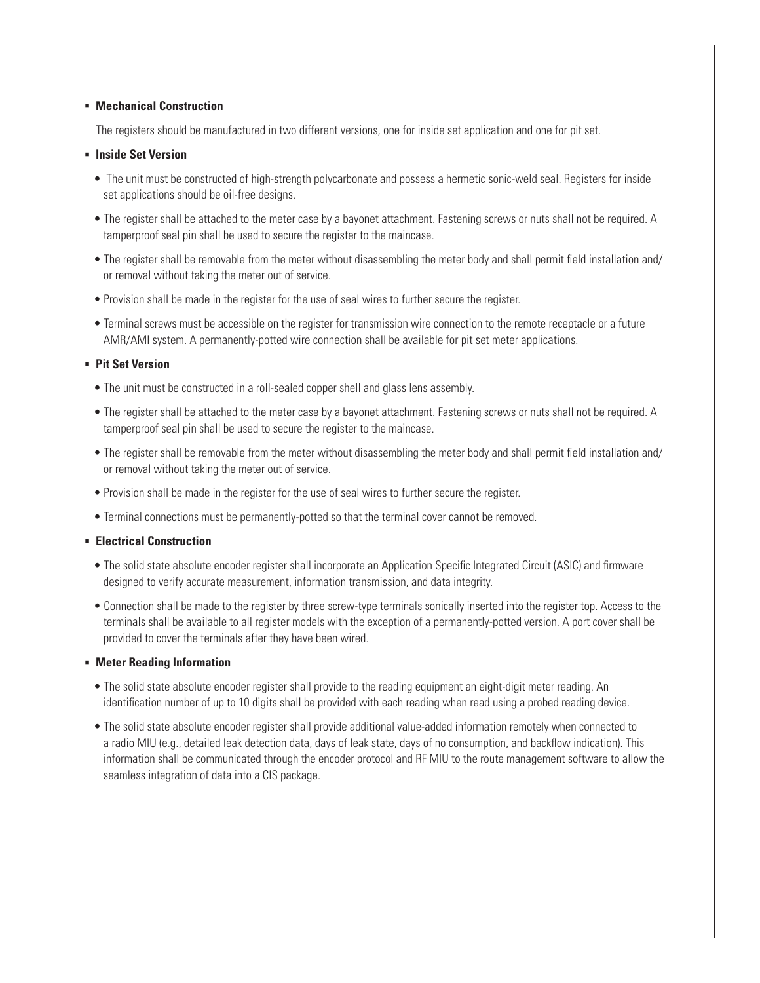### **E** Mechanical Construction

The registers should be manufactured in two different versions, one for inside set application and one for pit set.

### $\blacksquare$  Inside Set Version

- The unit must be constructed of high-strength polycarbonate and possess a hermetic sonic-weld seal. Registers for inside set applications should be oil-free designs.
- The register shall be attached to the meter case by a bayonet attachment. Fastening screws or nuts shall not be required. A tamperproof seal pin shall be used to secure the register to the maincase.
- The register shall be removable from the meter without disassembling the meter body and shall permit field installation and/ or removal without taking the meter out of service.
- Provision shall be made in the register for the use of seal wires to further secure the register.
- Terminal screws must be accessible on the register for transmission wire connection to the remote receptacle or a future AMR/AMI system. A permanently-potted wire connection shall be available for pit set meter applications.

#### **- Pit Set Version**

- The unit must be constructed in a roll-sealed copper shell and glass lens assembly.
- The register shall be attached to the meter case by a bayonet attachment. Fastening screws or nuts shall not be required. A tamperproof seal pin shall be used to secure the register to the maincase.
- The register shall be removable from the meter without disassembling the meter body and shall permit field installation and/ or removal without taking the meter out of service.
- Provision shall be made in the register for the use of seal wires to further secure the register.
- Terminal connections must be permanently-potted so that the terminal cover cannot be removed.

## **Electrical Construction**

- The solid state absolute encoder register shall incorporate an Application Specific Integrated Circuit (ASIC) and firmware designed to verify accurate measurement, information transmission, and data integrity.
- Connection shall be made to the register by three screw-type terminals sonically inserted into the register top. Access to the terminals shall be available to all register models with the exception of a permanently-potted version. A port cover shall be provided to cover the terminals after they have been wired.

## **EXECUTE:** Meter Reading Information

- The solid state absolute encoder register shall provide to the reading equipment an eight-digit meter reading. An identification number of up to 10 digits shall be provided with each reading when read using a probed reading device.
- The solid state absolute encoder register shall provide additional value-added information remotely when connected to a radio MIU (e.g., detailed leak detection data, days of leak state, days of no consumption, and backflow indication). This information shall be communicated through the encoder protocol and RF MIU to the route management software to allow the seamless integration of data into a CIS package.